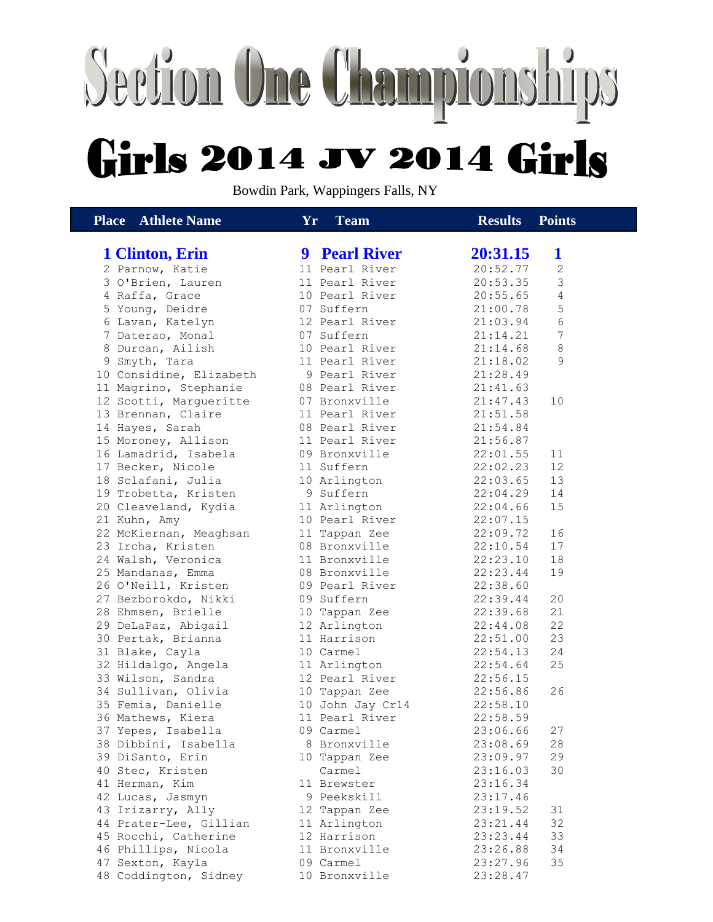## Section One Championships **Girls 2014 JV 2014 Girls**

Bowdin Park, Wappingers Falls, NY

| <b>Place</b> Athlete Name | ${\bf Yr}$<br><b>Team</b> | <b>Results</b><br><b>Points</b> |
|---------------------------|---------------------------|---------------------------------|
|                           |                           |                                 |
| 1 Clinton, Erin           | <b>9 Pearl River</b>      | 20:31.15<br>$\mathbf 1$         |
| 2 Parnow, Katie           | 11 Pearl River            | 20:52.77<br>$\mathbf{2}$        |
| 3 O'Brien, Lauren         | 11 Pearl River            | 3<br>20:53.35                   |
| 4 Raffa, Grace            | 10 Pearl River            | 4<br>20:55.65                   |
| 5 Young, Deidre           | 07 Suffern                | 5<br>21:00.78                   |
| 6 Lavan, Katelyn          | 12 Pearl River            | $\epsilon$<br>21:03.94          |
| 7 Daterao, Monal          | 07 Suffern                | $\overline{7}$<br>21:14.21      |
| 8 Durcan, Ailish          | 10 Pearl River            | 8<br>21:14.68                   |
| 9 Smyth, Tara             | 11 Pearl River            | 9<br>21:18.02                   |
| 10 Considine, Elizabeth   | 9 Pearl River             | 21:28.49                        |
| 11 Magrino, Stephanie     | 08 Pearl River            | 21:41.63                        |
| 12 Scotti, Margueritte    | 07 Bronxville             | 21:47.43<br>10                  |
| 13 Brennan, Claire        | 11 Pearl River            | 21:51.58                        |
| 14 Hayes, Sarah           | 08 Pearl River            | 21:54.84                        |
| 15 Moroney, Allison       | 11 Pearl River            | 21:56.87                        |
| 16 Lamadrid, Isabela      | 09 Bronxville             | 22:01.55<br>11                  |
| 17 Becker, Nicole         | 11 Suffern                | 12<br>22:02.23                  |
| 18 Sclafani, Julia        | 10 Arlington              | 13<br>22:03.65                  |
| 19 Trobetta, Kristen      | 9 Suffern                 | 14<br>22:04.29                  |
| 20 Cleaveland, Kydia      | 11 Arlington              | 15<br>22:04.66                  |
| 21 Kuhn, Amy              | 10 Pearl River            | 22:07.15                        |
| 22 McKiernan, Meaghsan    | 11 Tappan Zee             | 16<br>22:09.72                  |
| 23 Ircha, Kristen         | 08 Bronxville             | 17<br>22:10.54                  |
| 24 Walsh, Veronica        | 11 Bronxville             | 18<br>22:23.10                  |
| 25 Mandanas, Emma         | 08 Bronxville             | 19<br>22:23.44                  |
| 26 O'Neill, Kristen       | 09 Pearl River            | 22:38.60                        |
| 27 Bezborokdo, Nikki      | 09 Suffern                | 20<br>22:39.44                  |
| 28 Ehmsen, Brielle        | 10 Tappan Zee             | 21<br>22:39.68                  |
| 29 DeLaPaz, Abigail       | 12 Arlington              | 22<br>22:44.08                  |
| 30 Pertak, Brianna        | 11 Harrison               | 23<br>22:51.00                  |
| 31 Blake, Cayla           | 10 Carmel                 | 24<br>22:54.13                  |
| 32 Hildalgo, Angela       | 11 Arlington              | 25<br>22:54.64                  |
| 33 Wilson, Sandra         | 12 Pearl River            | 22:56.15                        |
| 34 Sullivan, Olivia       | 10 Tappan Zee             | 26<br>22:56.86                  |
| 35 Femia, Danielle        | 10 John Jay Cr14          | 22:58.10                        |
| 36 Mathews, Kiera         | 11 Pearl River            | 22:58.59                        |
| 37 Yepes, Isabella        | 09 Carmel                 | 23:06.66<br>27                  |
| 38 Dibbini, Isabella      | 8 Bronxville              | 23:08.69<br>28                  |
| 39 DiSanto, Erin          | 10 Tappan Zee             | 29<br>23:09.97                  |
| 40 Stec, Kristen          | Carmel                    | 30<br>23:16.03                  |
| 41 Herman, Kim            | 11 Brewster               | 23:16.34                        |
| 42 Lucas, Jasmyn          | 9 Peekskill               | 23:17.46                        |
| 43 Irizarry, Ally         | 12 Tappan Zee             | 23:19.52<br>31                  |
|                           | 11 Arlington              | 32                              |
| 44 Prater-Lee, Gillian    |                           | 23:21.44<br>33                  |
| 45 Rocchi, Catherine      | 12 Harrison               | 23:23.44<br>34                  |
| 46 Phillips, Nicola       | 11 Bronxville             | 23:26.88                        |
| 47 Sexton, Kayla          | 09 Carmel                 | 35<br>23:27.96                  |
| 48 Coddington, Sidney     | 10 Bronxville             | 23:28.47                        |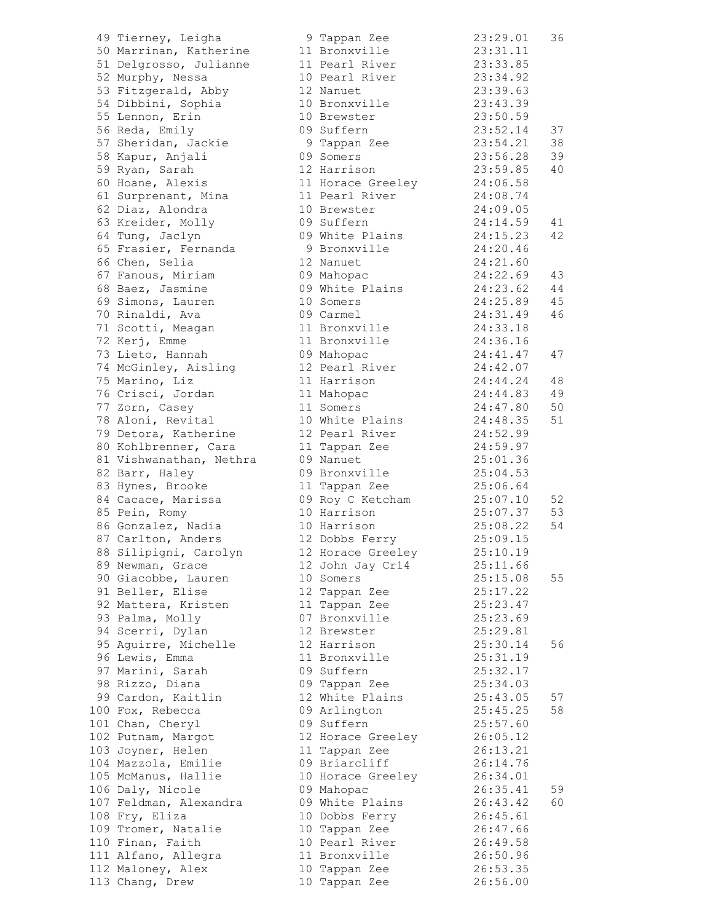| 49 Tierney, Leigha                    | 9 Tappan Zee      | 23:29.01 | 36 |
|---------------------------------------|-------------------|----------|----|
| 50 Marrinan, Katherine                | 11 Bronxville     | 23:31.11 |    |
| 51 Delgrosso, Julianne                | 11 Pearl River    | 23:33.85 |    |
| 52 Murphy, Nessa                      | 10 Pearl River    | 23:34.92 |    |
| 53 Fitzgerald, Abby                   | 12 Nanuet         | 23:39.63 |    |
| 54 Dibbini, Sophia                    | 10 Bronxville     | 23:43.39 |    |
| 55 Lennon, Erin                       | 10 Brewster       | 23:50.59 |    |
| 56 Reda, Emily                        | 09 Suffern        | 23:52.14 | 37 |
| 57 Sheridan, Jackie                   | 9 Tappan Zee      | 23:54.21 | 38 |
| 58 Kapur, Anjali                      | 09 Somers         | 23:56.28 | 39 |
| 59 Ryan, Sarah                        | 12 Harrison       | 23:59.85 | 40 |
| 60 Hoane, Alexis                      | 11 Horace Greeley | 24:06.58 |    |
| 61 Surprenant, Mina                   | 11 Pearl River    | 24:08.74 |    |
| 62 Diaz, Alondra                      | 10 Brewster       | 24:09.05 |    |
| 63 Kreider, Molly                     | 09 Suffern        | 24:14.59 | 41 |
| 64 Tung, Jaclyn                       | 09 White Plains   | 24:15.23 | 42 |
| 65 Frasier, Fernanda                  | 9 Bronxville      | 24:20.46 |    |
| 66 Chen, Selia                        | 12 Nanuet         | 24:21.60 |    |
|                                       |                   | 24:22.69 | 43 |
| 67 Fanous, Miriam<br>68 Baez, Jasmine | 09 Mahopac        | 24:23.62 | 44 |
|                                       | 09 White Plains   | 24:25.89 |    |
| 69 Simons, Lauren                     | 10 Somers         |          | 45 |
| 70 Rinaldi, Ava                       | 09 Carmel         | 24:31.49 | 46 |
| 71 Scotti, Meagan                     | 11 Bronxville     | 24:33.18 |    |
| 72 Kerj, Emme                         | 11 Bronxville     | 24:36.16 |    |
| 73 Lieto, Hannah                      | 09 Mahopac        | 24:41.47 | 47 |
| 74 McGinley, Aisling                  | 12 Pearl River    | 24:42.07 |    |
| 75 Marino, Liz                        | 11 Harrison       | 24:44.24 | 48 |
| 76 Crisci, Jordan                     | 11 Mahopac        | 24:44.83 | 49 |
| 77 Zorn, Casey                        | 11 Somers         | 24:47.80 | 50 |
| 78 Aloni, Revital                     | 10 White Plains   | 24:48.35 | 51 |
| 79 Detora, Katherine                  | 12 Pearl River    | 24:52.99 |    |
| 80 Kohlbrenner, Cara                  | 11 Tappan Zee     | 24:59.97 |    |
| 81 Vishwanathan, Nethra               | 09 Nanuet         | 25:01.36 |    |
| 82 Barr, Haley                        | 09 Bronxville     | 25:04.53 |    |
| 83 Hynes, Brooke                      | 11 Tappan Zee     | 25:06.64 |    |
| 84 Cacace, Marissa                    | 09 Roy C Ketcham  | 25:07.10 | 52 |
| 85 Pein, Romy                         | 10 Harrison       | 25:07.37 | 53 |
| 86 Gonzalez, Nadia                    | 10 Harrison       | 25:08.22 | 54 |
| 87 Carlton, Anders                    | 12 Dobbs Ferry    | 25:09.15 |    |
| 88 Silipigni, Carolyn                 | 12 Horace Greeley | 25:10.19 |    |
| 89 Newman, Grace                      | 12 John Jay Cr14  | 25:11.66 |    |
| 90 Giacobbe, Lauren                   | 10 Somers         | 25:15.08 | 55 |
| 91 Beller, Elise                      | 12 Tappan Zee     | 25:17.22 |    |
| 92 Mattera, Kristen                   | 11 Tappan Zee     | 25:23.47 |    |
| 93 Palma, Molly                       | 07 Bronxville     | 25:23.69 |    |
| 94 Scerri, Dylan                      | 12 Brewster       | 25:29.81 |    |
| 95 Aguirre, Michelle                  | 12 Harrison       | 25:30.14 | 56 |
| 96 Lewis, Emma                        | 11 Bronxville     | 25:31.19 |    |
| 97 Marini, Sarah                      | 09 Suffern        | 25:32.17 |    |
| 98 Rizzo, Diana                       | 09 Tappan Zee     | 25:34.03 |    |
| 99 Cardon, Kaitlin                    | 12 White Plains   | 25:43.05 | 57 |
| 100 Fox, Rebecca                      |                   |          | 58 |
|                                       | 09 Arlington      | 25:45.25 |    |
| 101 Chan, Cheryl                      | 09 Suffern        | 25:57.60 |    |
| 102 Putnam, Margot                    | 12 Horace Greeley | 26:05.12 |    |
| 103 Joyner, Helen                     | 11 Tappan Zee     | 26:13.21 |    |
| 104 Mazzola, Emilie                   | 09 Briarcliff     | 26:14.76 |    |
| 105 McManus, Hallie                   | 10 Horace Greeley | 26:34.01 |    |
| 106 Daly, Nicole                      | 09 Mahopac        | 26:35.41 | 59 |
| 107 Feldman, Alexandra                | 09 White Plains   | 26:43.42 | 60 |
| 108 Fry, Eliza                        | 10 Dobbs Ferry    | 26:45.61 |    |
| 109 Tromer, Natalie                   | 10 Tappan Zee     | 26:47.66 |    |
| 110 Finan, Faith                      | 10 Pearl River    | 26:49.58 |    |
| 111 Alfano, Allegra                   | 11 Bronxville     | 26:50.96 |    |
| 112 Maloney, Alex                     | 10 Tappan Zee     | 26:53.35 |    |
| 113 Chang, Drew                       | 10 Tappan Zee     | 26:56.00 |    |